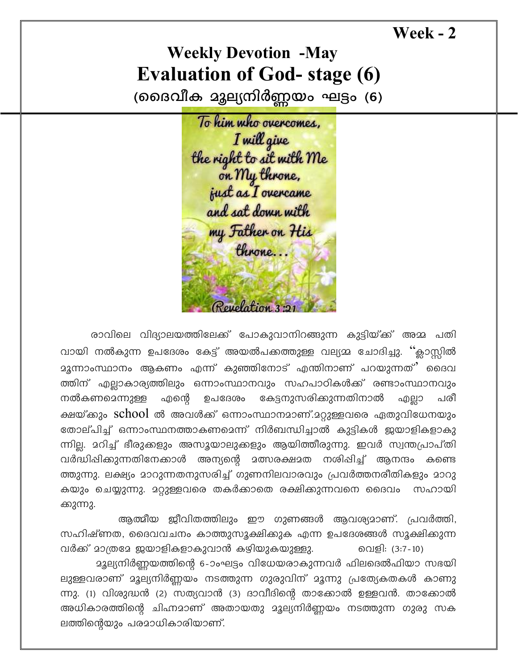Week - 2

## **Weekly Devotion -May Evaluation of God- stage (6)**

(മൈവീക മൂല്യനിർണ്ണയം ഘട്ടം (6)

To him who overcomes, I will give the right to sit with Me<br>on My throne,<br>just as I overcame and sat down with my Father on His throne... Revelation 3

രാവിലെ വിദ്യാലയത്തിലേക്ക് പോകുവാനിറങ്ങുന്ന കുട്ടിയ്ക്ക് അമ്മ പതി വായി നൽകുന്ന ഉപദേശം കേട്ട് അയൽപക്കത്തുള്ള വല്യമ്മ ചോദിച്ചു. ''ക്ലാസ്റ്റിൽ ത്തിന് എല്ലാകാര്യത്തിലും ഒന്നാംസ്ഥാനവും സഹപാഠികൾക്ക് രണ്ടാംസ്ഥാനവും കേട്ടനുസരിക്കുന്നതിനാൽ നൽകണമെന്നുള്ള എന്റെ ഉപദേശം എല്ലാ പരീ ക്ഷയ്ക്കും school ൽ അവൾക്ക് ഒന്നാംസ്ഥാനമാണ്.മറ്റുള്ളവരെ ഏതുവിധേനയും തോല്പിച്ച് ഒന്നാംസ്ഥനത്താകണമെന്ന് നിർബന്ധിച്ചാൽ കുട്ടികൾ ഇയാളികളാകു ന്നില്ല. മറിച്ച് ഭീരുക്കളും അസൂയാലുക്കളും ആയിത്തീരുന്നു. ഇവർ സ്വന്തപ്രാപ്തി വർദ്ധിപ്പിക്കുന്നതിനേക്കാൾ അന്യന്റെ മത്സരക്ഷമത നശിപ്പിച്ച് ആനന്ദം കണ്ടെ ത്തുന്നു. ലക്ഷ്യം മാറുന്നതനുസരിച്ച് ഗുണനിലവാരവും പ്രവർത്തനരീതികളും മാറു സഹായി ക്കുന്നു.

ആത്മീയ ജീവിതത്തിലും ഈ ഗുണങ്ങൾ ആവശ്യമാണ്. പ്രവർത്തി, സഹിഷ്ണത, ദൈവവചനം കാത്തുസൂക്ഷിക്കുക എന്ന ഉപദേശങ്ങൾ സൂക്ഷിക്കുന്ന വർക്ക് മാത്രമേ ജയാളികളാകുവാൻ കഴിയുകയുള്ളു. വെളി: (3:7-10)

മൂല്യനിർണ്ണയത്തിന്റെ 6-ാംഘട്ടം വിധേയരാകുന്നവർ ഫിലദെൽഫിയാ സഭയി ലുള്ളവരാണ് മൂല്യനിർണ്ണയം നടത്തുന്ന ഗുരുവിന് മൂന്നു പ്രത്യേകതകൾ കാണു ന്നു. (1) വിശുദ്ധൻ (2) സത്യവാൻ (3) ദാവീദിന്റെ താക്കോൽ ഉള്ളവൻ. താക്കോൽ അധികാരത്തിന്റെ ചിഹ്നമാണ് അതായതു മൂല്യനിർണ്ണയം നടത്തുന്ന ഗുരു സക ലത്തിന്റെയും പരമാധികാരിയാണ്.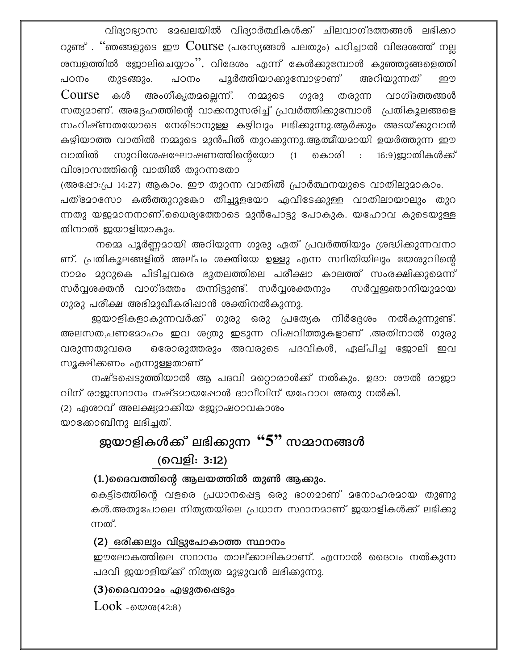വിദ്യാഭ്യാസ മേഖലയിൽ വിദ്യാർത്ഥികൾക്ക് ചിലവാഗ്ദത്തങ്ങൾ ലഭിക്കാ റുണ്ട്. "ഞങ്ങളുടെ ഈ  $\frac{1}{2}$ Course (പരസ്യങ്ങൾ പലതും) പഠിച്ചാൽ വിദേശത്ത് നല്ല ശമ്പളത്തിൽ ജോലിചെയ്യാം''. വിദേശം എന്ന് കേൾക്കുമ്പോൾ കുഞ്ഞുങ്ങളെത്തി തുടങ്ങും. അറിയുന്നത് പഠനം പൂർത്തിയാക്കുമ്പോഴാണ് പഠനം றூ Course க<sub>்</sub> അംഗീകൃതമല്ലെന്ന്. നമ്മുടെ ഗുരു തരുന്ന വാഗ്ദത്തങ്ങൾ സത്യമാണ്. അദ്ദേഹത്തിന്റെ വാക്കനുസരിച്ച് പ്രവർത്തിക്കുമ്പോൾ പ്രതികൂലങ്ങളെ സഹിഷ്ണതയോടെ നേരിടാനുള്ള കഴിവും ലഭിക്കുന്നു.ആർക്കും അടയ്ക്കുവാൻ കഴിയാത്ത വാതിൽ നമ്മുടെ മുൻപിൽ തുറക്കുന്നു.ആത്മീയമായി ഉയർത്തുന്ന ഈ വാതിൽ സുവിശേഷഘോഷണത്തിന്റെയോ ്ദ്ര കൊരി : 16:9)ജാതികൾക്ക് വിശ്വാസത്തിന്റെ വാതിൽ തുറന്നതോ

(അഷോ:പ്ര 14:27) ആകാം. ഈ തുറന്ന വാതിൽ പ്രാർത്ഥനയുടെ വാതിലുമാകാം. പത്മോസോ കൽത്തുറുകോ തീച്ചൂളയോ എവിടേക്കുള്ള വാതിലായാലും തുറ ന്നതു യജമാനനാണ്.ധൈര്യത്തോടെ മുൻപോട്ടു പോകുക. യഹോവ കുടെയുള്ള തിനാൽ ജയാളിയാകും.

നമ്മെ പൂർണ്ണമായി അറിയുന്ന ഗുരു ഏത് പ്രവർത്തിയും ശ്രദ്ധിക്കുന്നവനാ ണ്. പ്രതികൂലങ്ങളിൽ അല്പം ശക്തിയേ ഉള്ളു എന്ന സ്ഥിതിയിലും യേശുവിന്റെ നാമം മുറുകെ പിടിച്ചവരെ ഭൂതലത്തിലെ പരീക്ഷാ കാലത്ത് സംരക്ഷിക്കുമെന്ന് സർവ്വശക്തൻ വാഗ്ദത്തം തന്നിട്ടുണ്ട്. സർവ്വശക്തനും സർവ്വജ്ഞാനിയുമായ ഗുരു പരീക്ഷ അഭിമുഖീകരിഷാൻ ശക്തിനൽകുന്നു.

ജയാളികളാകുന്നവർക്ക് ഗുരു ഒരു പ്രത്യേക നിർദ്ദേശം നൽകുന്നുണ്ട്. അലസത,പണമോഹം ഇവ ശത്രു ഇടുന്ന വിഷവിത്തുകളാണ് .അതിനാൽ ഗുരു ഒരോരുത്തരും അവരുടെ പദവികൾ, ഏല്പിച്ച ജോലി ഇവ വരുന്നതുവരെ സൂക്ഷിക്കണം എന്നുള്ളതാണ്

നഷ്ടപ്പെടുത്തിയാൽ ആ പദവി മറ്റൊരാൾക്ക് നൽകും. ഉദാ: ശൗൽ രാജാ വിന് രാജസ്ഥാനം നഷ്ടമായപ്പോൾ ദാവീവിന് യഹോവ അതു നൽകി.

(2) ഏശാവ് അലക്ഷ്യമാക്കിയ ജ്യോഷഠാവകാശം യാക്കോബിനു ലഭിച്ചത്.

## ജയാളികൾക്ക് ലഭിക്കുന്ന "5" സമാനങ്ങൾ (വെളി: 3:12)

(1.)മൈവത്തിന്റെ ആലയത്തിൽ തുൺ ആക്കും.

കെട്ടിടത്തിന്റെ വളരെ പ്രധാനപ്പെട്ട ഒരു ഭാഗമാണ് മനോഹരമായ തുണു കൾ.അതുപോലെ നിത്യതയിലെ പ്രധാന സ്ഥാനമാണ് ജയാളികൾക്ക് ലഭിക്കു ന്നത്.

(2) ഒരിക്കലും വിട്ടുപോകാത്ത സ്ഥാനം

ഈലോകത്തിലെ സ്ഥാനം താല്ക്കാലികമാണ്. എന്നാൽ ദൈവം നൽകുന്ന പദവി ജയാളിയ്ക്ക് നിത്യത മുഴുവൻ ലഭിക്കുന്നു.

(3)മൈവനാമം എഴുതഷെടും

 $Look -ow@(42:8)$